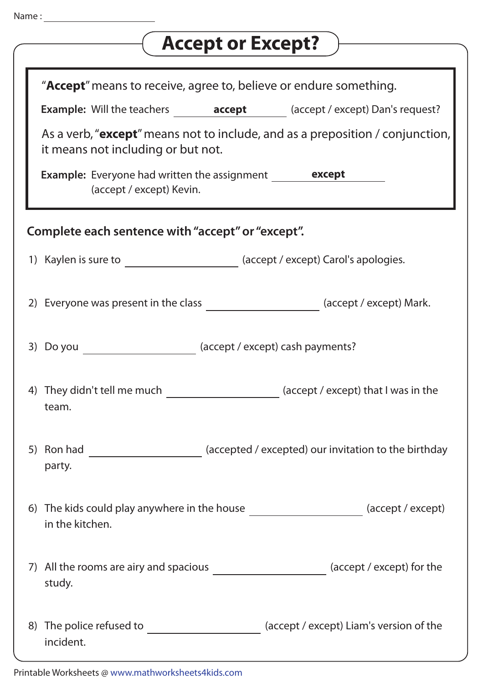| <b>Accept or Except?</b>                                                                                                     |
|------------------------------------------------------------------------------------------------------------------------------|
| " <b>Accept</b> " means to receive, agree to, believe or endure something.                                                   |
| <b>Example:</b> Will the teachers <b>accept</b> (accept / except) Dan's request?                                             |
| As a verb, " <b>except</b> " means not to include, and as a preposition / conjunction,<br>it means not including or but not. |
| <b>Example:</b> Everyone had written the assignment <b>except</b><br>(accept / except) Kevin.                                |
| Complete each sentence with "accept" or "except".                                                                            |
| 1) Kaylen is sure to <b>the summan contact of the Case Contact Control</b> (accept / except) Carol's apologies.              |
| (accept / except) Mark.<br>2) Everyone was present in the class                                                              |
| (accept / except) cash payments?<br>3) Do you                                                                                |
| 4) They didn't tell me much _________________________ (accept / except) that I was in the<br>team.                           |
| 5) Ron had ________________________ (accepted / excepted) our invitation to the birthday<br>party.                           |
| 6) The kids could play anywhere in the house ________________________(accept / except)<br>in the kitchen.                    |
| 7) All the rooms are airy and spacious _______________________ (accept / except) for the<br>study.                           |
| The police refused to ___________________________ (accept / except) Liam's version of the<br>8)<br>incident.                 |